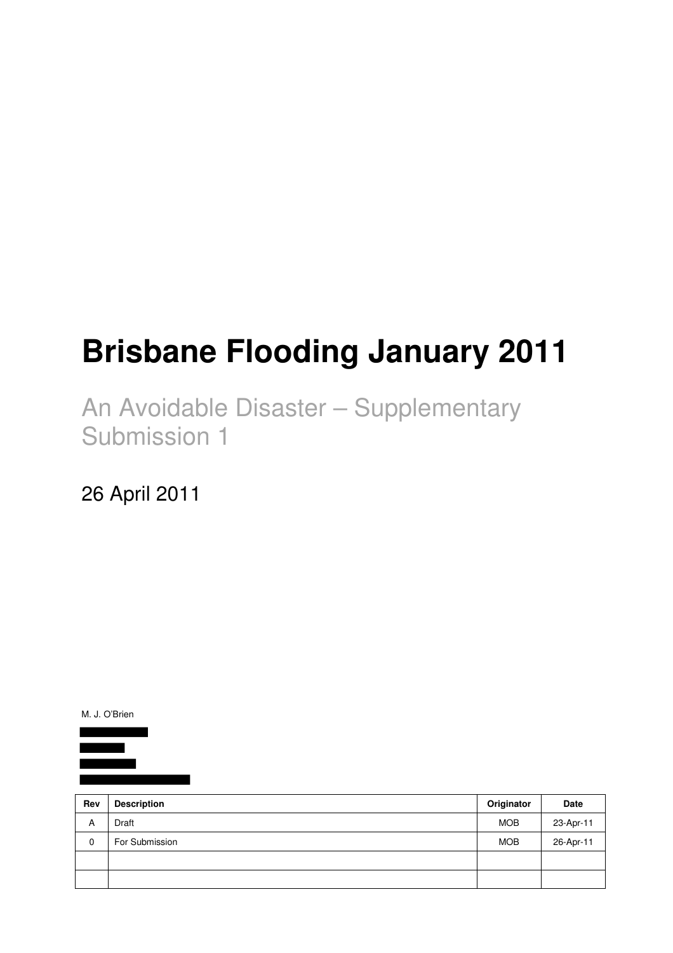# **Brisbane Flooding January 2011**

An Avoidable Disaster – Supplementary Submission 1

26 April 2011

M. J. O'Brien

| Rev | <b>Description</b> | Originator | Date      |
|-----|--------------------|------------|-----------|
| A   | Draft              | <b>MOB</b> | 23-Apr-11 |
| 0   | For Submission     | <b>MOB</b> | 26-Apr-11 |
|     |                    |            |           |
|     |                    |            |           |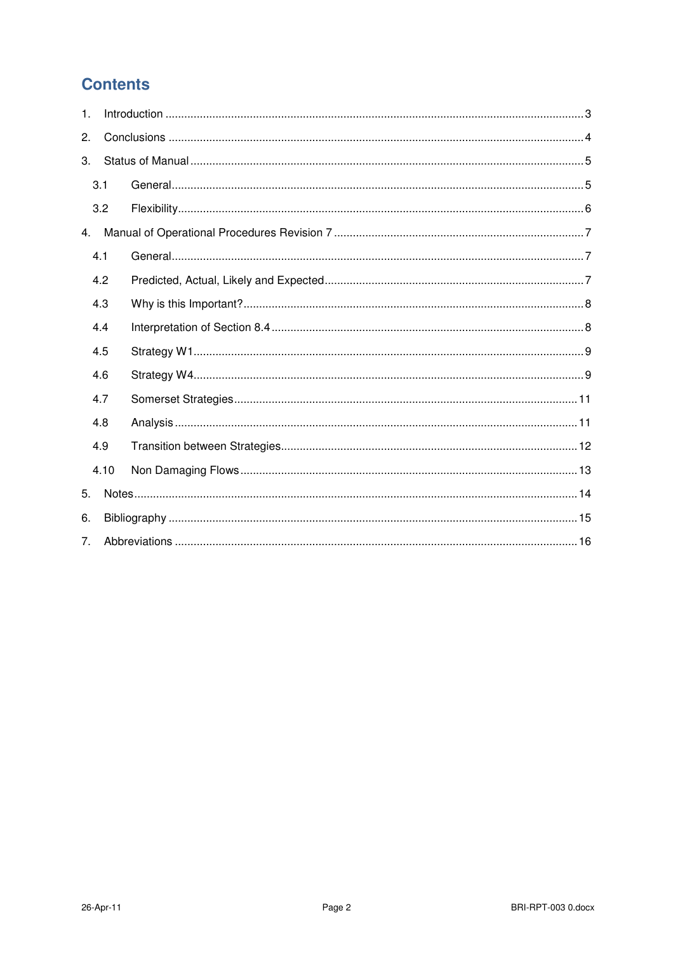# **Contents**

| 1. |     |      |  |  |  |  |
|----|-----|------|--|--|--|--|
| 2. |     |      |  |  |  |  |
| 3. |     |      |  |  |  |  |
|    | 3.1 |      |  |  |  |  |
|    | 3.2 |      |  |  |  |  |
| 4. |     |      |  |  |  |  |
|    | 4.1 |      |  |  |  |  |
|    | 4.2 |      |  |  |  |  |
|    | 4.3 |      |  |  |  |  |
|    | 4.4 |      |  |  |  |  |
|    | 4.5 |      |  |  |  |  |
|    | 4.6 |      |  |  |  |  |
|    | 4.7 |      |  |  |  |  |
|    | 4.8 |      |  |  |  |  |
|    | 4.9 |      |  |  |  |  |
|    |     | 4.10 |  |  |  |  |
| 5. |     |      |  |  |  |  |
| 6. |     |      |  |  |  |  |
| 7. |     |      |  |  |  |  |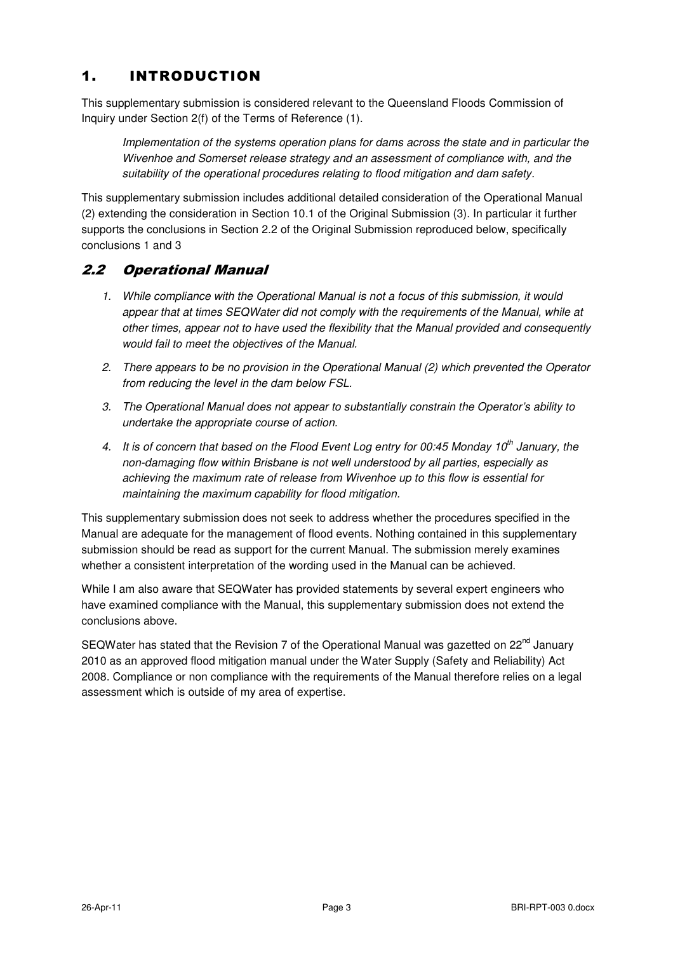## 1. INTRODUCTION

This supplementary submission is considered relevant to the Queensland Floods Commission of Inquiry under Section 2(f) of the Terms of Reference (1).

Implementation of the systems operation plans for dams across the state and in particular the Wivenhoe and Somerset release strategy and an assessment of compliance with, and the suitability of the operational procedures relating to flood mitigation and dam safety.

This supplementary submission includes additional detailed consideration of the Operational Manual (2) extending the consideration in Section 10.1 of the Original Submission (3). In particular it further supports the conclusions in Section 2.2 of the Original Submission reproduced below, specifically conclusions 1 and 3

## 2.2 Operational Manual

- 1. While compliance with the Operational Manual is not a focus of this submission, it would appear that at times SEQWater did not comply with the requirements of the Manual, while at other times, appear not to have used the flexibility that the Manual provided and consequently would fail to meet the objectives of the Manual.
- 2. There appears to be no provision in the Operational Manual (2) which prevented the Operator from reducing the level in the dam below FSL.
- 3. The Operational Manual does not appear to substantially constrain the Operator's ability to undertake the appropriate course of action.
- 4. It is of concern that based on the Flood Event Log entry for 00:45 Monday 10<sup>th</sup> January, the non-damaging flow within Brisbane is not well understood by all parties, especially as achieving the maximum rate of release from Wivenhoe up to this flow is essential for maintaining the maximum capability for flood mitigation.

This supplementary submission does not seek to address whether the procedures specified in the Manual are adequate for the management of flood events. Nothing contained in this supplementary submission should be read as support for the current Manual. The submission merely examines whether a consistent interpretation of the wording used in the Manual can be achieved.

While I am also aware that SEQWater has provided statements by several expert engineers who have examined compliance with the Manual, this supplementary submission does not extend the conclusions above.

SEQWater has stated that the Revision 7 of the Operational Manual was gazetted on 22<sup>nd</sup> January 2010 as an approved flood mitigation manual under the Water Supply (Safety and Reliability) Act 2008. Compliance or non compliance with the requirements of the Manual therefore relies on a legal assessment which is outside of my area of expertise.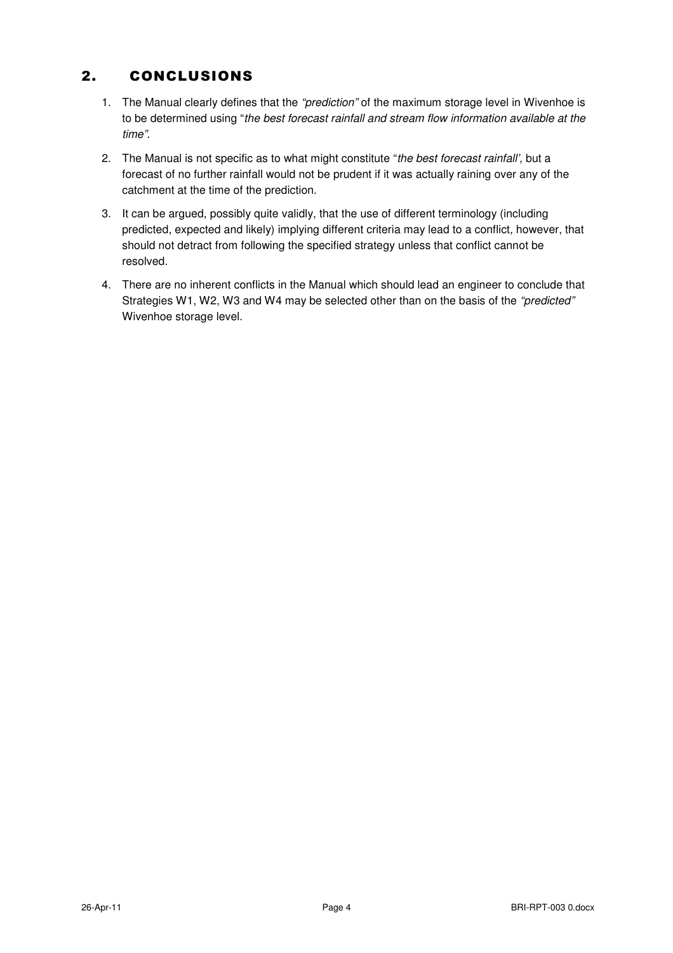## 2. CONCLUSIONS

- 1. The Manual clearly defines that the "prediction" of the maximum storage level in Wivenhoe is to be determined using "the best forecast rainfall and stream flow information available at the time".
- 2. The Manual is not specific as to what might constitute "the best forecast rainfall', but a forecast of no further rainfall would not be prudent if it was actually raining over any of the catchment at the time of the prediction.
- 3. It can be argued, possibly quite validly, that the use of different terminology (including predicted, expected and likely) implying different criteria may lead to a conflict, however, that should not detract from following the specified strategy unless that conflict cannot be resolved.
- 4. There are no inherent conflicts in the Manual which should lead an engineer to conclude that Strategies W1, W2, W3 and W4 may be selected other than on the basis of the "predicted" Wivenhoe storage level.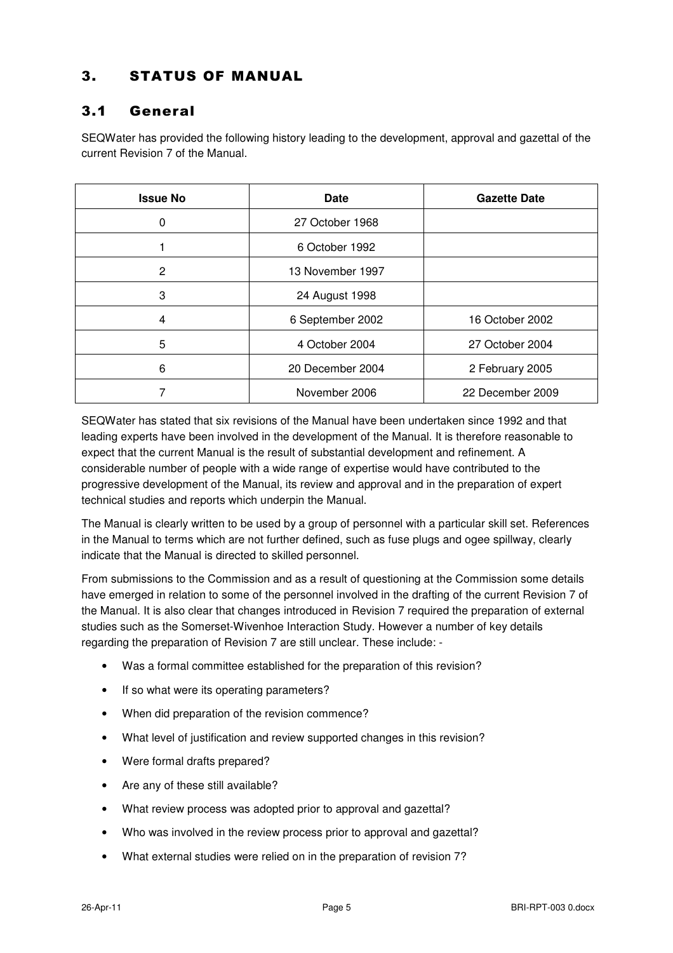## 3. STATUS OF MANUAL

#### 3.1 General

SEQWater has provided the following history leading to the development, approval and gazettal of the current Revision 7 of the Manual.

| <b>Issue No</b> | Date             | <b>Gazette Date</b> |
|-----------------|------------------|---------------------|
| 0               | 27 October 1968  |                     |
|                 | 6 October 1992   |                     |
| 2               | 13 November 1997 |                     |
| 3               | 24 August 1998   |                     |
| 4               | 6 September 2002 | 16 October 2002     |
| 5               | 4 October 2004   | 27 October 2004     |
| 6               | 20 December 2004 | 2 February 2005     |
|                 | November 2006    | 22 December 2009    |

SEQWater has stated that six revisions of the Manual have been undertaken since 1992 and that leading experts have been involved in the development of the Manual. It is therefore reasonable to expect that the current Manual is the result of substantial development and refinement. A considerable number of people with a wide range of expertise would have contributed to the progressive development of the Manual, its review and approval and in the preparation of expert technical studies and reports which underpin the Manual.

The Manual is clearly written to be used by a group of personnel with a particular skill set. References in the Manual to terms which are not further defined, such as fuse plugs and ogee spillway, clearly indicate that the Manual is directed to skilled personnel.

From submissions to the Commission and as a result of questioning at the Commission some details have emerged in relation to some of the personnel involved in the drafting of the current Revision 7 of the Manual. It is also clear that changes introduced in Revision 7 required the preparation of external studies such as the Somerset-Wivenhoe Interaction Study. However a number of key details regarding the preparation of Revision 7 are still unclear. These include: -

- Was a formal committee established for the preparation of this revision?
- If so what were its operating parameters?
- When did preparation of the revision commence?
- What level of justification and review supported changes in this revision?
- Were formal drafts prepared?
- Are any of these still available?
- What review process was adopted prior to approval and gazettal?
- Who was involved in the review process prior to approval and gazettal?
- What external studies were relied on in the preparation of revision 7?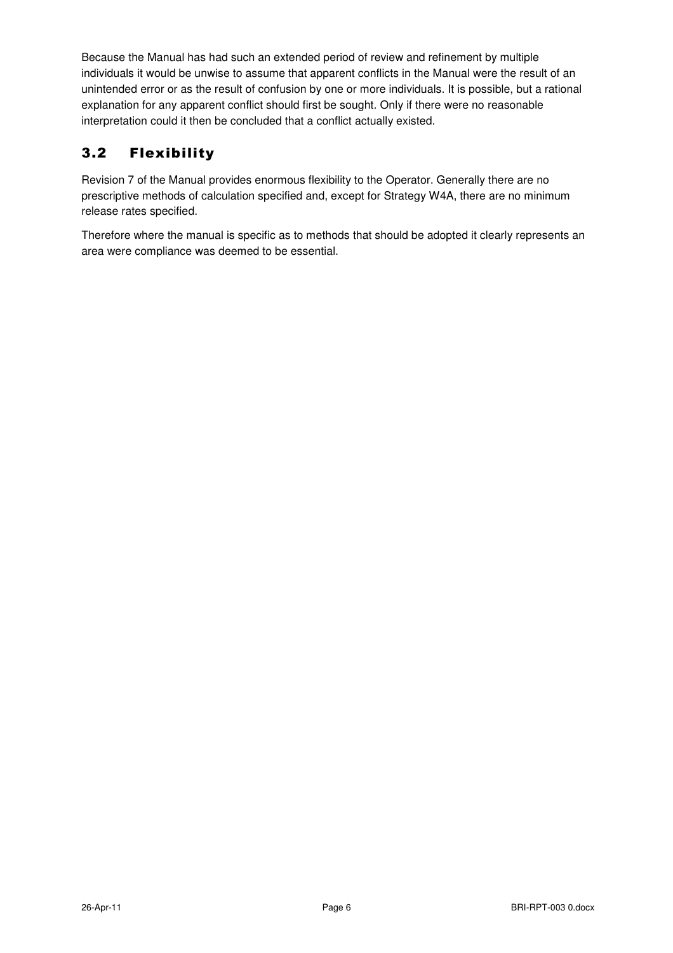Because the Manual has had such an extended period of review and refinement by multiple individuals it would be unwise to assume that apparent conflicts in the Manual were the result of an unintended error or as the result of confusion by one or more individuals. It is possible, but a rational explanation for any apparent conflict should first be sought. Only if there were no reasonable interpretation could it then be concluded that a conflict actually existed.

## 3.2 Flexibility

Revision 7 of the Manual provides enormous flexibility to the Operator. Generally there are no prescriptive methods of calculation specified and, except for Strategy W4A, there are no minimum release rates specified.

Therefore where the manual is specific as to methods that should be adopted it clearly represents an area were compliance was deemed to be essential.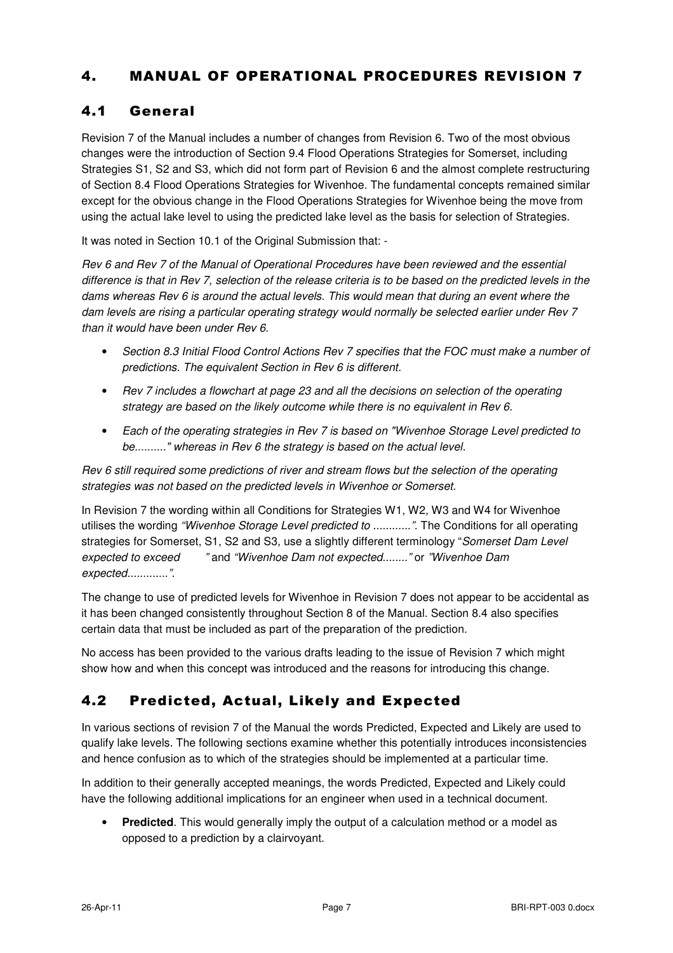## 4. MANUAL OF OPERATIONAL PROCEDURES REVISION 7

## 4.1 General

Revision 7 of the Manual includes a number of changes from Revision 6. Two of the most obvious changes were the introduction of Section 9.4 Flood Operations Strategies for Somerset, including Strategies S1, S2 and S3, which did not form part of Revision 6 and the almost complete restructuring of Section 8.4 Flood Operations Strategies for Wivenhoe. The fundamental concepts remained similar except for the obvious change in the Flood Operations Strategies for Wivenhoe being the move from using the actual lake level to using the predicted lake level as the basis for selection of Strategies.

It was noted in Section 10.1 of the Original Submission that: -

Rev 6 and Rev 7 of the Manual of Operational Procedures have been reviewed and the essential difference is that in Rev 7, selection of the release criteria is to be based on the predicted levels in the dams whereas Rev 6 is around the actual levels. This would mean that during an event where the dam levels are rising a particular operating strategy would normally be selected earlier under Rev 7 than it would have been under Rev 6.

- Section 8.3 Initial Flood Control Actions Rev 7 specifies that the FOC must make a number of predictions. The equivalent Section in Rev 6 is different.
- Rev 7 includes a flowchart at page 23 and all the decisions on selection of the operating strategy are based on the likely outcome while there is no equivalent in Rev 6.
- Each of the operating strategies in Rev 7 is based on "Wivenhoe Storage Level predicted to be.........." whereas in Rev 6 the strategy is based on the actual level.

Rev 6 still required some predictions of river and stream flows but the selection of the operating strategies was not based on the predicted levels in Wivenhoe or Somerset.

In Revision 7 the wording within all Conditions for Strategies W1, W2, W3 and W4 for Wivenhoe utilises the wording "Wivenhoe Storage Level predicted to ............". The Conditions for all operating strategies for Somerset, S1, S2 and S3, use a slightly different terminology "Somerset Dam Level expected to exceed " and "Wivenhoe Dam not expected........" or "Wivenhoe Dam expected..............".

The change to use of predicted levels for Wivenhoe in Revision 7 does not appear to be accidental as it has been changed consistently throughout Section 8 of the Manual. Section 8.4 also specifies certain data that must be included as part of the preparation of the prediction.

No access has been provided to the various drafts leading to the issue of Revision 7 which might show how and when this concept was introduced and the reasons for introducing this change.

## 4.2 Predicted, Actual, Likely and Expected

In various sections of revision 7 of the Manual the words Predicted, Expected and Likely are used to qualify lake levels. The following sections examine whether this potentially introduces inconsistencies and hence confusion as to which of the strategies should be implemented at a particular time.

In addition to their generally accepted meanings, the words Predicted, Expected and Likely could have the following additional implications for an engineer when used in a technical document.

• **Predicted**. This would generally imply the output of a calculation method or a model as opposed to a prediction by a clairvoyant.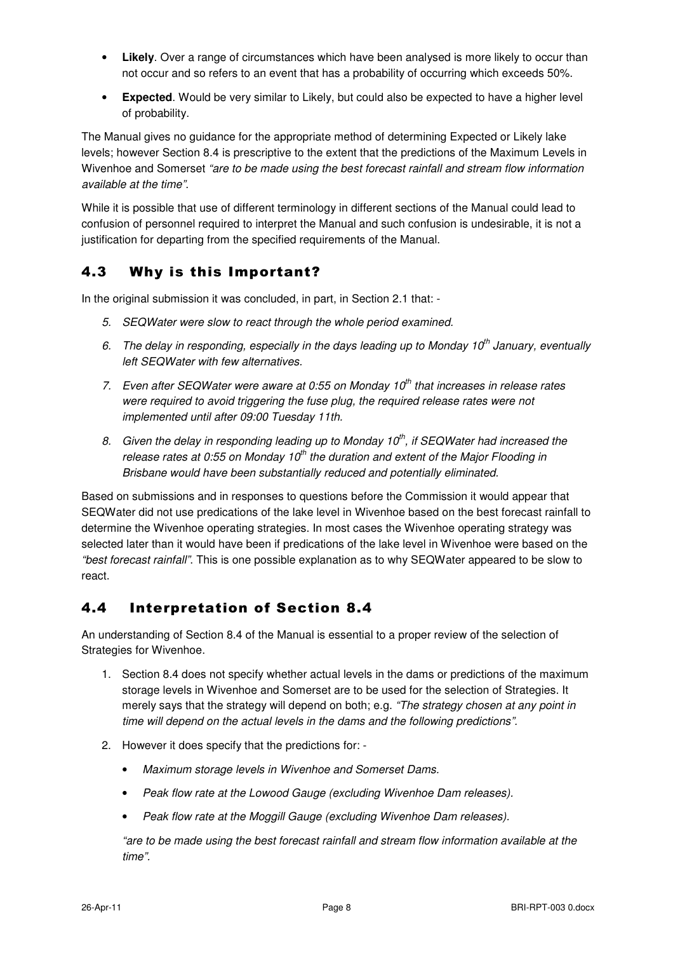- **Likely**. Over a range of circumstances which have been analysed is more likely to occur than not occur and so refers to an event that has a probability of occurring which exceeds 50%.
- **Expected**. Would be very similar to Likely, but could also be expected to have a higher level of probability.

The Manual gives no guidance for the appropriate method of determining Expected or Likely lake levels; however Section 8.4 is prescriptive to the extent that the predictions of the Maximum Levels in Wivenhoe and Somerset "are to be made using the best forecast rainfall and stream flow information available at the time".

While it is possible that use of different terminology in different sections of the Manual could lead to confusion of personnel required to interpret the Manual and such confusion is undesirable, it is not a justification for departing from the specified requirements of the Manual.

## 4.3 Why is this Important?

In the original submission it was concluded, in part, in Section 2.1 that: -

- 5. SEQWater were slow to react through the whole period examined.
- 6. The delay in responding, especially in the days leading up to Monday 10<sup>th</sup> January, eventually left SEQWater with few alternatives.
- 7. Even after SEQWater were aware at 0:55 on Monday  $10<sup>th</sup>$  that increases in release rates were required to avoid triggering the fuse plug, the required release rates were not implemented until after 09:00 Tuesday 11th.
- 8. Given the delay in responding leading up to Monday 10<sup>th</sup>, if SEQWater had increased the release rates at 0:55 on Monday 10<sup>th</sup> the duration and extent of the Major Flooding in Brisbane would have been substantially reduced and potentially eliminated.

Based on submissions and in responses to questions before the Commission it would appear that SEQWater did not use predications of the lake level in Wivenhoe based on the best forecast rainfall to determine the Wivenhoe operating strategies. In most cases the Wivenhoe operating strategy was selected later than it would have been if predications of the lake level in Wivenhoe were based on the "best forecast rainfall". This is one possible explanation as to why SEQWater appeared to be slow to react.

#### 4.4 Interpretation of Section 8.4

An understanding of Section 8.4 of the Manual is essential to a proper review of the selection of Strategies for Wivenhoe.

- 1. Section 8.4 does not specify whether actual levels in the dams or predictions of the maximum storage levels in Wivenhoe and Somerset are to be used for the selection of Strategies. It merely says that the strategy will depend on both; e.g. "The strategy chosen at any point in time will depend on the actual levels in the dams and the following predictions".
- 2. However it does specify that the predictions for:
	- Maximum storage levels in Wivenhoe and Somerset Dams.
	- Peak flow rate at the Lowood Gauge (excluding Wivenhoe Dam releases).
	- Peak flow rate at the Moggill Gauge (excluding Wivenhoe Dam releases).

"are to be made using the best forecast rainfall and stream flow information available at the time".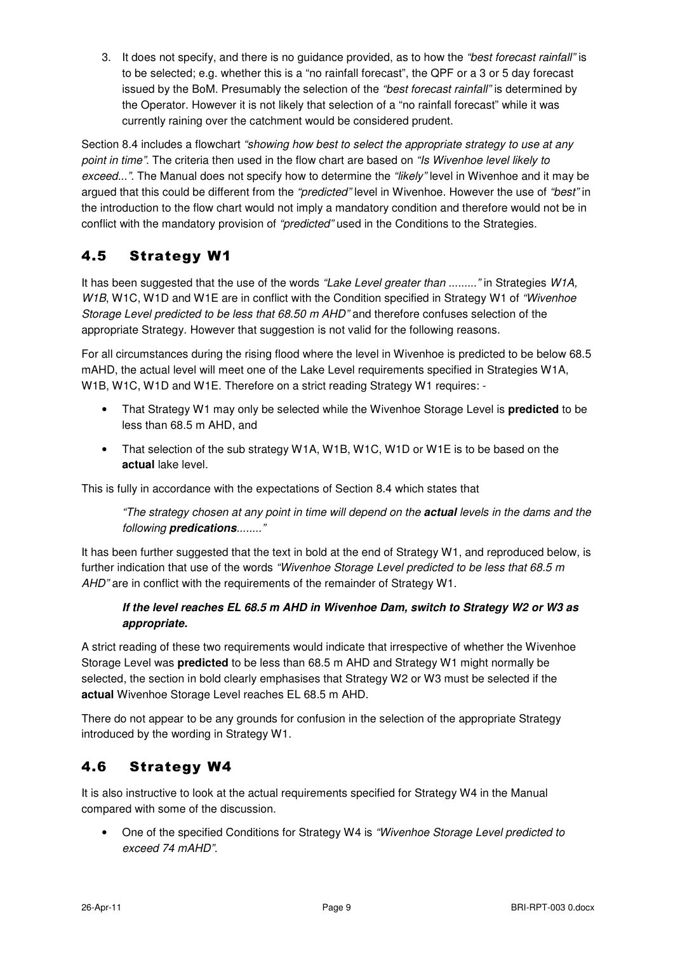3. It does not specify, and there is no quidance provided, as to how the "best forecast rainfall" is to be selected; e.g. whether this is a "no rainfall forecast", the QPF or a 3 or 5 day forecast issued by the BoM. Presumably the selection of the "best forecast rainfall" is determined by the Operator. However it is not likely that selection of a "no rainfall forecast" while it was currently raining over the catchment would be considered prudent.

Section 8.4 includes a flowchart "showing how best to select the appropriate strategy to use at any point in time". The criteria then used in the flow chart are based on "Is Wivenhoe level likely to exceed...". The Manual does not specify how to determine the "likely" level in Wivenhoe and it may be argued that this could be different from the "predicted" level in Wivenhoe. However the use of "best" in the introduction to the flow chart would not imply a mandatory condition and therefore would not be in conflict with the mandatory provision of "predicted" used in the Conditions to the Strategies.

## 4.5 Strategy W1

It has been suggested that the use of the words "Lake Level greater than ........." in Strategies W1A, W1B, W1C, W1D and W1E are in conflict with the Condition specified in Strategy W1 of "Wivenhoe" Storage Level predicted to be less that 68.50 m AHD" and therefore confuses selection of the appropriate Strategy. However that suggestion is not valid for the following reasons.

For all circumstances during the rising flood where the level in Wivenhoe is predicted to be below 68.5 mAHD, the actual level will meet one of the Lake Level requirements specified in Strategies W1A, W1B, W1C, W1D and W1E. Therefore on a strict reading Strategy W1 requires: -

- That Strategy W1 may only be selected while the Wivenhoe Storage Level is **predicted** to be less than 68.5 m AHD, and
- That selection of the sub strategy W1A, W1B, W1C, W1D or W1E is to be based on the **actual** lake level.

This is fully in accordance with the expectations of Section 8.4 which states that

"The strategy chosen at any point in time will depend on the **actual** levels in the dams and the following **predications**........"

It has been further suggested that the text in bold at the end of Strategy W1, and reproduced below, is further indication that use of the words "Wivenhoe Storage Level predicted to be less that 68.5 m AHD" are in conflict with the requirements of the remainder of Strategy W1.

#### **If the level reaches EL 68.5 m AHD in Wivenhoe Dam, switch to Strategy W2 or W3 as appropriate.**

A strict reading of these two requirements would indicate that irrespective of whether the Wivenhoe Storage Level was **predicted** to be less than 68.5 m AHD and Strategy W1 might normally be selected, the section in bold clearly emphasises that Strategy W2 or W3 must be selected if the **actual** Wivenhoe Storage Level reaches EL 68.5 m AHD.

There do not appear to be any grounds for confusion in the selection of the appropriate Strategy introduced by the wording in Strategy W1.

## 4.6 Strategy W4

It is also instructive to look at the actual requirements specified for Strategy W4 in the Manual compared with some of the discussion.

• One of the specified Conditions for Strategy W4 is "Wivenhoe Storage Level predicted to exceed 74 mAHD".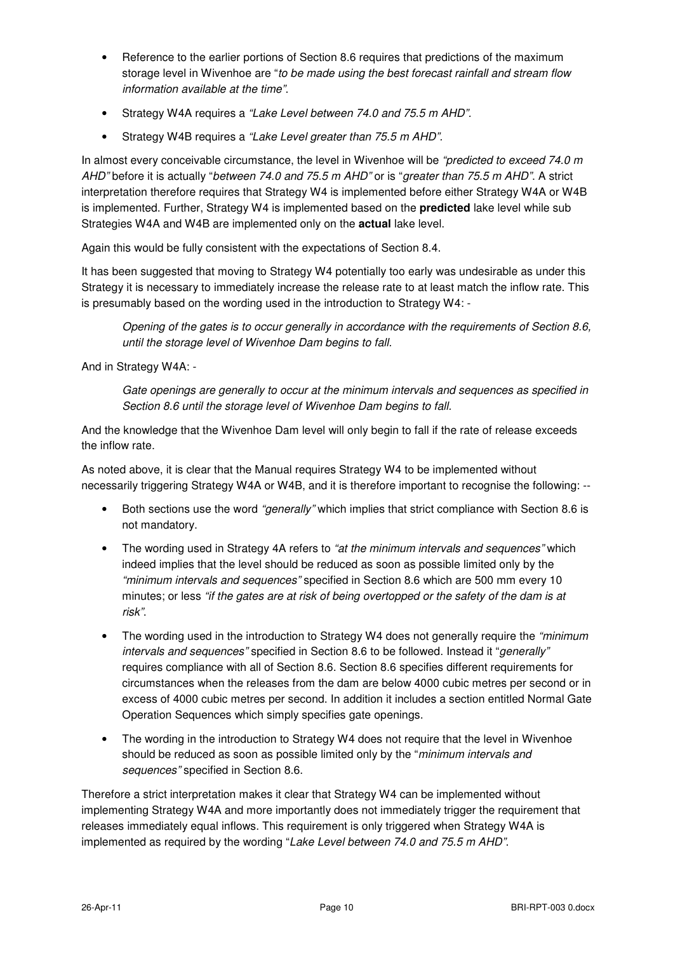- Reference to the earlier portions of Section 8.6 requires that predictions of the maximum storage level in Wivenhoe are "to be made using the best forecast rainfall and stream flow information available at the time".
- Strategy W4A requires a "Lake Level between 74.0 and 75.5 m AHD".
- Strategy W4B requires a "Lake Level greater than 75.5 m AHD".

In almost every conceivable circumstance, the level in Wivenhoe will be "predicted to exceed 74.0  $m$ AHD" before it is actually "between 74.0 and 75.5 m AHD" or is "greater than 75.5 m AHD". A strict interpretation therefore requires that Strategy W4 is implemented before either Strategy W4A or W4B is implemented. Further, Strategy W4 is implemented based on the **predicted** lake level while sub Strategies W4A and W4B are implemented only on the **actual** lake level.

Again this would be fully consistent with the expectations of Section 8.4.

It has been suggested that moving to Strategy W4 potentially too early was undesirable as under this Strategy it is necessary to immediately increase the release rate to at least match the inflow rate. This is presumably based on the wording used in the introduction to Strategy W4: -

Opening of the gates is to occur generally in accordance with the requirements of Section 8.6, until the storage level of Wivenhoe Dam begins to fall.

And in Strategy W4A: -

Gate openings are generally to occur at the minimum intervals and sequences as specified in Section 8.6 until the storage level of Wivenhoe Dam begins to fall.

And the knowledge that the Wivenhoe Dam level will only begin to fall if the rate of release exceeds the inflow rate.

As noted above, it is clear that the Manual requires Strategy W4 to be implemented without necessarily triggering Strategy W4A or W4B, and it is therefore important to recognise the following: --

- Both sections use the word "generally" which implies that strict compliance with Section 8.6 is not mandatory.
- The wording used in Strategy 4A refers to "at the minimum intervals and sequences" which indeed implies that the level should be reduced as soon as possible limited only by the "minimum intervals and sequences" specified in Section 8.6 which are 500 mm every 10 minutes; or less "if the gates are at risk of being overtopped or the safety of the dam is at risk".
- The wording used in the introduction to Strategy W4 does not generally require the "minimum" intervals and sequences" specified in Section 8.6 to be followed. Instead it "generally" requires compliance with all of Section 8.6. Section 8.6 specifies different requirements for circumstances when the releases from the dam are below 4000 cubic metres per second or in excess of 4000 cubic metres per second. In addition it includes a section entitled Normal Gate Operation Sequences which simply specifies gate openings.
- The wording in the introduction to Strategy W4 does not require that the level in Wivenhoe should be reduced as soon as possible limited only by the "minimum intervals and sequences" specified in Section 8.6.

Therefore a strict interpretation makes it clear that Strategy W4 can be implemented without implementing Strategy W4A and more importantly does not immediately trigger the requirement that releases immediately equal inflows. This requirement is only triggered when Strategy W4A is implemented as required by the wording "Lake Level between 74.0 and 75.5 m AHD".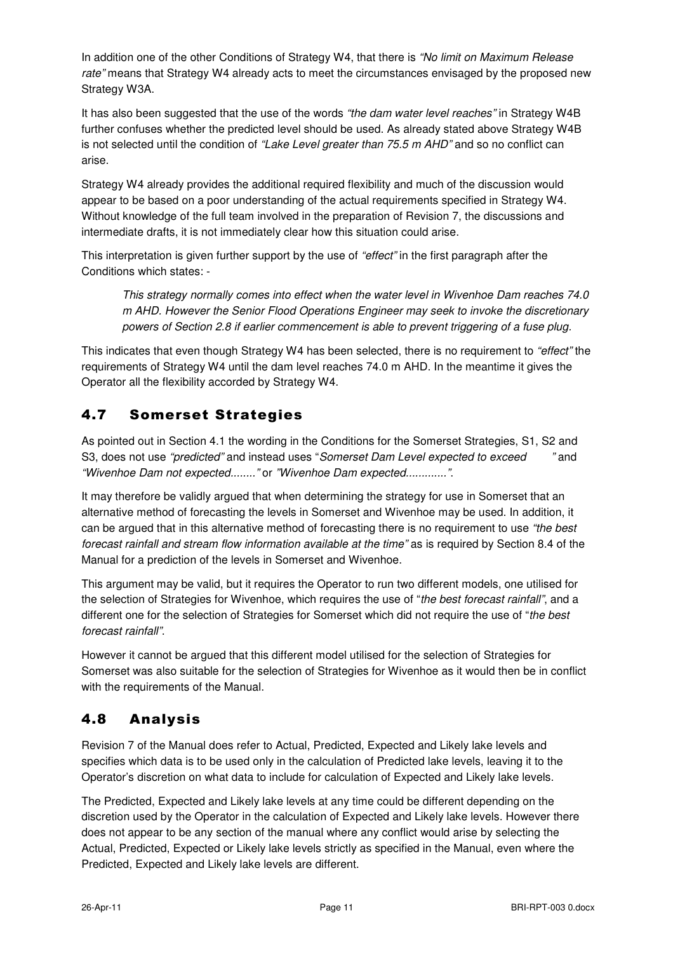In addition one of the other Conditions of Strategy W4, that there is "No limit on Maximum Release rate" means that Strategy W4 already acts to meet the circumstances envisaged by the proposed new Strategy W3A.

It has also been suggested that the use of the words "the dam water level reaches" in Strategy W4B further confuses whether the predicted level should be used. As already stated above Strategy W4B is not selected until the condition of "Lake Level greater than 75.5 m AHD" and so no conflict can arise.

Strategy W4 already provides the additional required flexibility and much of the discussion would appear to be based on a poor understanding of the actual requirements specified in Strategy W4. Without knowledge of the full team involved in the preparation of Revision 7, the discussions and intermediate drafts, it is not immediately clear how this situation could arise.

This interpretation is given further support by the use of "effect" in the first paragraph after the Conditions which states: -

This strategy normally comes into effect when the water level in Wivenhoe Dam reaches 74.0 m AHD. However the Senior Flood Operations Engineer may seek to invoke the discretionary powers of Section 2.8 if earlier commencement is able to prevent triggering of a fuse plug.

This indicates that even though Strategy W4 has been selected, there is no requirement to "effect" the requirements of Strategy W4 until the dam level reaches 74.0 m AHD. In the meantime it gives the Operator all the flexibility accorded by Strategy W4.

## 4.7 Somerset Strategies

As pointed out in Section 4.1 the wording in the Conditions for the Somerset Strategies, S1, S2 and S3, does not use "predicted" and instead uses "Somerset Dam Level expected to exceed "and "Wivenhoe Dam not expected........" or "Wivenhoe Dam expected.............".

It may therefore be validly argued that when determining the strategy for use in Somerset that an alternative method of forecasting the levels in Somerset and Wivenhoe may be used. In addition, it can be argued that in this alternative method of forecasting there is no requirement to use "the best forecast rainfall and stream flow information available at the time" as is required by Section 8.4 of the Manual for a prediction of the levels in Somerset and Wivenhoe.

This argument may be valid, but it requires the Operator to run two different models, one utilised for the selection of Strategies for Wivenhoe, which requires the use of "the best forecast rainfall", and a different one for the selection of Strategies for Somerset which did not require the use of "the best forecast rainfall".

However it cannot be argued that this different model utilised for the selection of Strategies for Somerset was also suitable for the selection of Strategies for Wivenhoe as it would then be in conflict with the requirements of the Manual.

## 4.8 Analysis

Revision 7 of the Manual does refer to Actual, Predicted, Expected and Likely lake levels and specifies which data is to be used only in the calculation of Predicted lake levels, leaving it to the Operator's discretion on what data to include for calculation of Expected and Likely lake levels.

The Predicted, Expected and Likely lake levels at any time could be different depending on the discretion used by the Operator in the calculation of Expected and Likely lake levels. However there does not appear to be any section of the manual where any conflict would arise by selecting the Actual, Predicted, Expected or Likely lake levels strictly as specified in the Manual, even where the Predicted, Expected and Likely lake levels are different.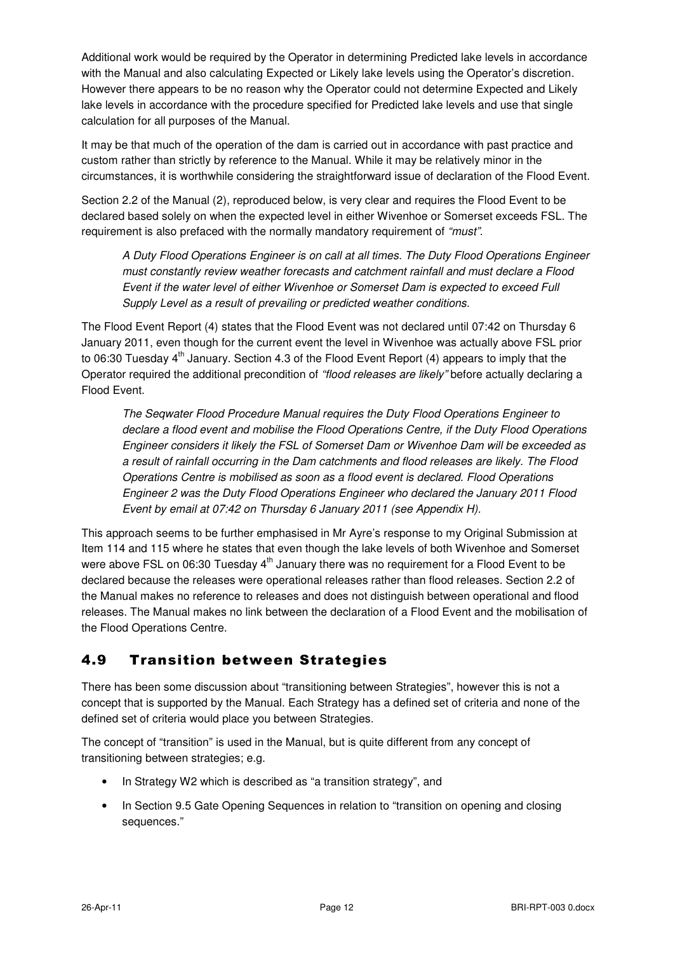Additional work would be required by the Operator in determining Predicted lake levels in accordance with the Manual and also calculating Expected or Likely lake levels using the Operator's discretion. However there appears to be no reason why the Operator could not determine Expected and Likely lake levels in accordance with the procedure specified for Predicted lake levels and use that single calculation for all purposes of the Manual.

It may be that much of the operation of the dam is carried out in accordance with past practice and custom rather than strictly by reference to the Manual. While it may be relatively minor in the circumstances, it is worthwhile considering the straightforward issue of declaration of the Flood Event.

Section 2.2 of the Manual (2), reproduced below, is very clear and requires the Flood Event to be declared based solely on when the expected level in either Wivenhoe or Somerset exceeds FSL. The requirement is also prefaced with the normally mandatory requirement of "must".

A Duty Flood Operations Engineer is on call at all times. The Duty Flood Operations Engineer must constantly review weather forecasts and catchment rainfall and must declare a Flood Event if the water level of either Wivenhoe or Somerset Dam is expected to exceed Full Supply Level as a result of prevailing or predicted weather conditions.

The Flood Event Report (4) states that the Flood Event was not declared until 07:42 on Thursday 6 January 2011, even though for the current event the level in Wivenhoe was actually above FSL prior to 06:30 Tuesday  $4<sup>th</sup>$  January. Section 4.3 of the Flood Event Report (4) appears to imply that the Operator required the additional precondition of "flood releases are likely" before actually declaring a Flood Event.

The Seqwater Flood Procedure Manual requires the Duty Flood Operations Engineer to declare a flood event and mobilise the Flood Operations Centre, if the Duty Flood Operations Engineer considers it likely the FSL of Somerset Dam or Wivenhoe Dam will be exceeded as a result of rainfall occurring in the Dam catchments and flood releases are likely. The Flood Operations Centre is mobilised as soon as a flood event is declared. Flood Operations Engineer 2 was the Duty Flood Operations Engineer who declared the January 2011 Flood Event by email at 07:42 on Thursday 6 January 2011 (see Appendix H).

This approach seems to be further emphasised in Mr Ayre's response to my Original Submission at Item 114 and 115 where he states that even though the lake levels of both Wivenhoe and Somerset were above FSL on 06:30 Tuesday  $4<sup>th</sup>$  January there was no requirement for a Flood Event to be declared because the releases were operational releases rather than flood releases. Section 2.2 of the Manual makes no reference to releases and does not distinguish between operational and flood releases. The Manual makes no link between the declaration of a Flood Event and the mobilisation of the Flood Operations Centre.

#### 4.9 Transition between Strategies

There has been some discussion about "transitioning between Strategies", however this is not a concept that is supported by the Manual. Each Strategy has a defined set of criteria and none of the defined set of criteria would place you between Strategies.

The concept of "transition" is used in the Manual, but is quite different from any concept of transitioning between strategies; e.g.

- In Strategy W2 which is described as "a transition strategy", and
- In Section 9.5 Gate Opening Sequences in relation to "transition on opening and closing sequences."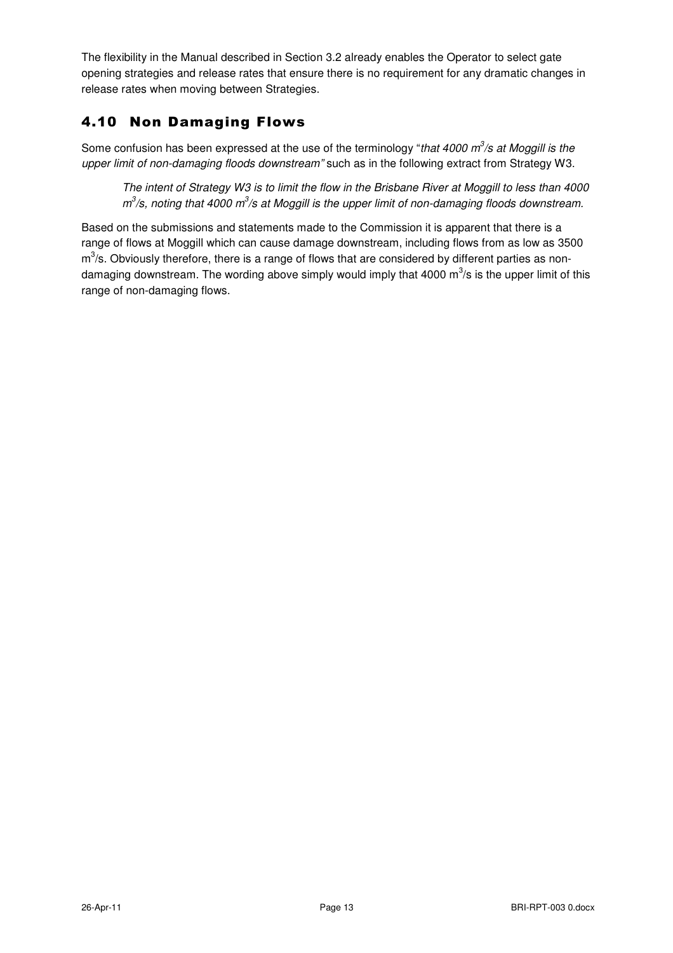The flexibility in the Manual described in Section 3.2 already enables the Operator to select gate opening strategies and release rates that ensure there is no requirement for any dramatic changes in release rates when moving between Strategies.

## 4.10 Non Damaging Flows

Some confusion has been expressed at the use of the terminology "that 4000  $m^3$ /s at Moggill is the upper limit of non-damaging floods downstream" such as in the following extract from Strategy W3.

The intent of Strategy W3 is to limit the flow in the Brisbane River at Moggill to less than 4000  $m^3$ /s, noting that 4000 m $^3$ /s at Moggill is the upper limit of non-damaging floods downstream.

Based on the submissions and statements made to the Commission it is apparent that there is a range of flows at Moggill which can cause damage downstream, including flows from as low as 3500  $m<sup>3</sup>/s$ . Obviously therefore, there is a range of flows that are considered by different parties as nondamaging downstream. The wording above simply would imply that 4000 m $\mathrm{^{3}/s}$  is the upper limit of this range of non-damaging flows.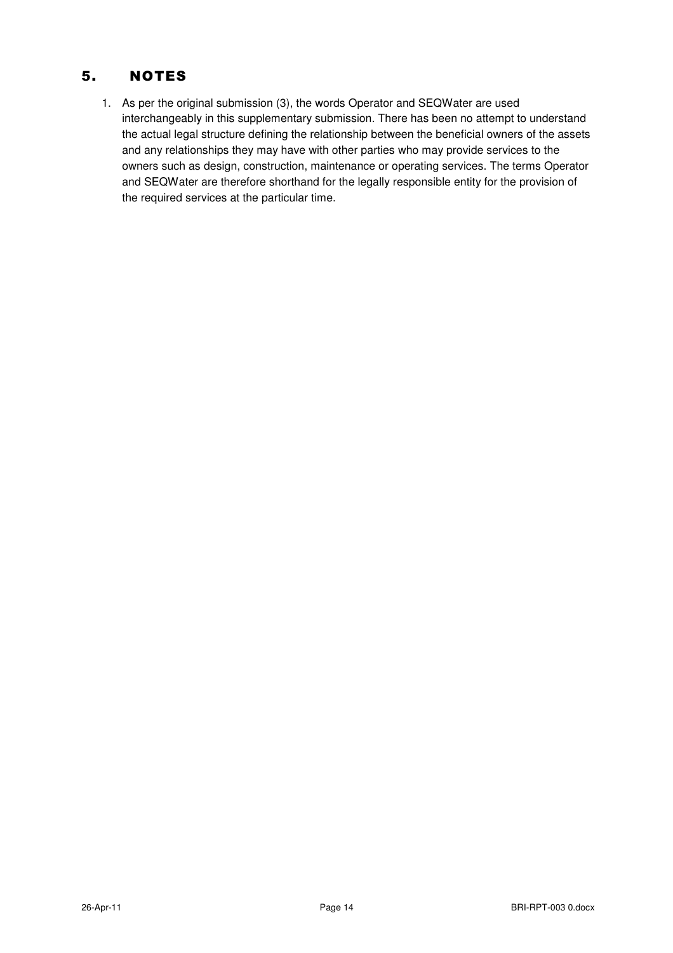## 5. NOTES

1. As per the original submission (3), the words Operator and SEQWater are used interchangeably in this supplementary submission. There has been no attempt to understand the actual legal structure defining the relationship between the beneficial owners of the assets and any relationships they may have with other parties who may provide services to the owners such as design, construction, maintenance or operating services. The terms Operator and SEQWater are therefore shorthand for the legally responsible entity for the provision of the required services at the particular time.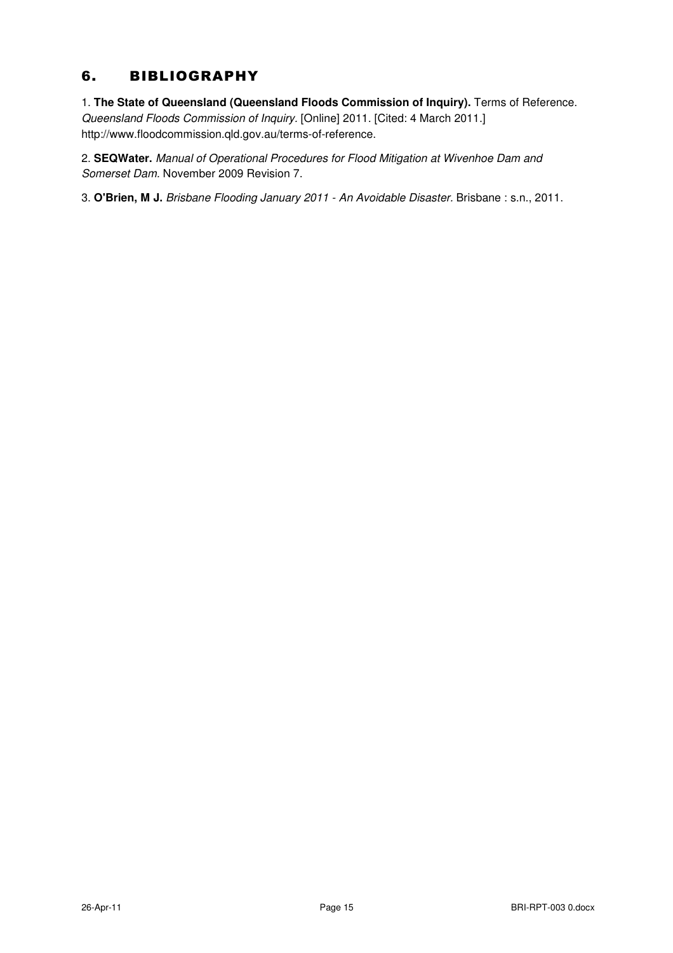## 6. BIBLIOGRAPHY

1. **The State of Queensland (Queensland Floods Commission of Inquiry).** Terms of Reference.

Queensland Floods Commission of Inquiry. [Online] 2011. [Cited: 4 March 2011.] http://www.floodcommission.qld.gov.au/terms-of-reference.

2. **SEQWater.** Manual of Operational Procedures for Flood Mitigation at Wivenhoe Dam and Somerset Dam. November 2009 Revision 7.

3. **O'Brien, M J.** Brisbane Flooding January 2011 - An Avoidable Disaster. Brisbane : s.n., 2011.